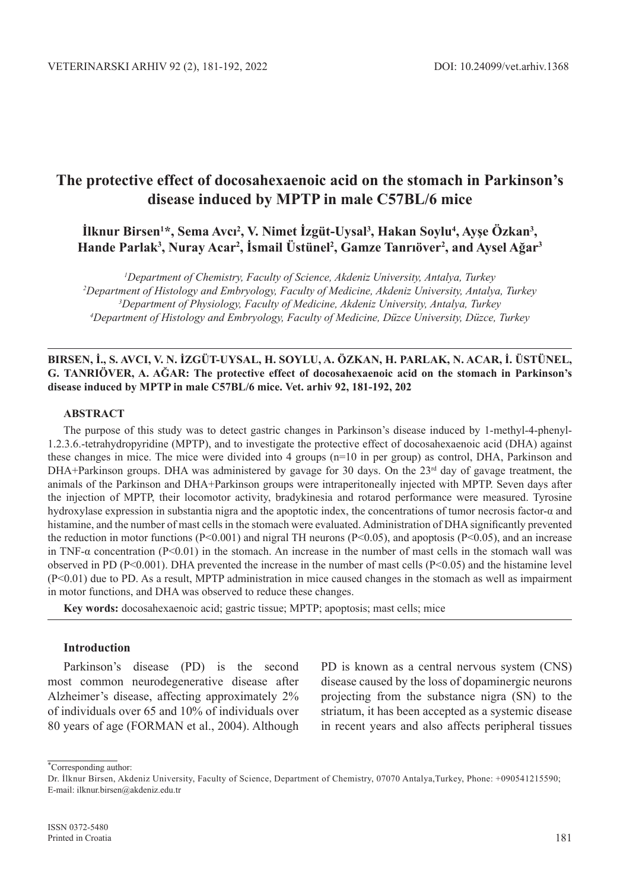# **The protective effect of docosahexaenoic acid on the stomach in Parkinson's disease induced by MPTP in male C57BL/6 mice**

**İlknur Birsen<sup>1</sup> \*, Sema Avcı<sup>2</sup> , V. Nimet İzgüt-Uysal<sup>3</sup> , Hakan Soylu4 , Ayşe Özkan<sup>3</sup> , Hande Parlak3 , Nuray Acar2 , İsmail Üstünel<sup>2</sup> , Gamze Tanrıöver<sup>2</sup> , and Aysel Ağar<sup>3</sup>**

 *Department of Chemistry, Faculty of Science, Akdeniz University, Antalya, Turkey Department of Histology and Embryology, Faculty of Medicine, Akdeniz University, Antalya, Turkey 3 Department of Physiology, Faculty of Medicine, Akdeniz University, Antalya, Turkey Department of Histology and Embryology, Faculty of Medicine, Düzce University, Düzce, Turkey*

## **Birsen, İ., S. Avcı, V. N. İzgüt-Uysal, H. Soylu, A. Özkan, H. Parlak, N. Acar, İ. Üstünel, G. Tanrıöver, A. Ağar: The protective effect of docosahexaenoic acid on the stomach in Parkinson's disease induced by MPTP in male C57BL/6 mice. Vet. arhiv 92, 181-192, 202**

## **ABSTRACT**

The purpose of this study was to detect gastric changes in Parkinson's disease induced by 1-methyl-4-phenyl-1.2.3.6.-tetrahydropyridine (MPTP), and to investigate the protective effect of docosahexaenoic acid (DHA) against these changes in mice. The mice were divided into 4 groups (n=10 in per group) as control, DHA, Parkinson and DHA+Parkinson groups. DHA was administered by gavage for 30 days. On the  $23<sup>rd</sup>$  day of gavage treatment, the animals of the Parkinson and DHA+Parkinson groups were intraperitoneally injected with MPTP. Seven days after the injection of MPTP, their locomotor activity, bradykinesia and rotarod performance were measured. Tyrosine hydroxylase expression in substantia nigra and the apoptotic index, the concentrations of tumor necrosis factor-α and histamine, and the number of mast cells in the stomach were evaluated. Administration of DHA significantly prevented the reduction in motor functions ( $P<0.001$ ) and nigral TH neurons ( $P<0.05$ ), and apoptosis ( $P<0.05$ ), and an increase in TNF-α concentration (P<0.01) in the stomach. An increase in the number of mast cells in the stomach wall was observed in PD ( $P<0.001$ ). DHA prevented the increase in the number of mast cells ( $P<0.05$ ) and the histamine level (P<0.01) due to PD. As a result, MPTP administration in mice caused changes in the stomach as well as impairment in motor functions, and DHA was observed to reduce these changes.

**Key words:** docosahexaenoic acid; gastric tissue; MPTP; apoptosis; mast cells; mice

## **Introduction**

Parkinson's disease (PD) is the second most common neurodegenerative disease after Alzheimer's disease, affecting approximately 2% of individuals over 65 and 10% of individuals over 80 years of age (FORMAN et al., 2004). Although PD is known as a central nervous system (CNS) disease caused by the loss of dopaminergic neurons projecting from the substance nigra (SN) to the striatum, it has been accepted as a systemic disease in recent years and also affects peripheral tissues

∗ Corresponding author:

Dr. İlknur Birsen, Akdeniz University, Faculty of Science, Department of Chemistry, 07070 Antalya,Turkey, Phone: +090541215590; E-mail: ilknur.birsen@akdeniz.edu.tr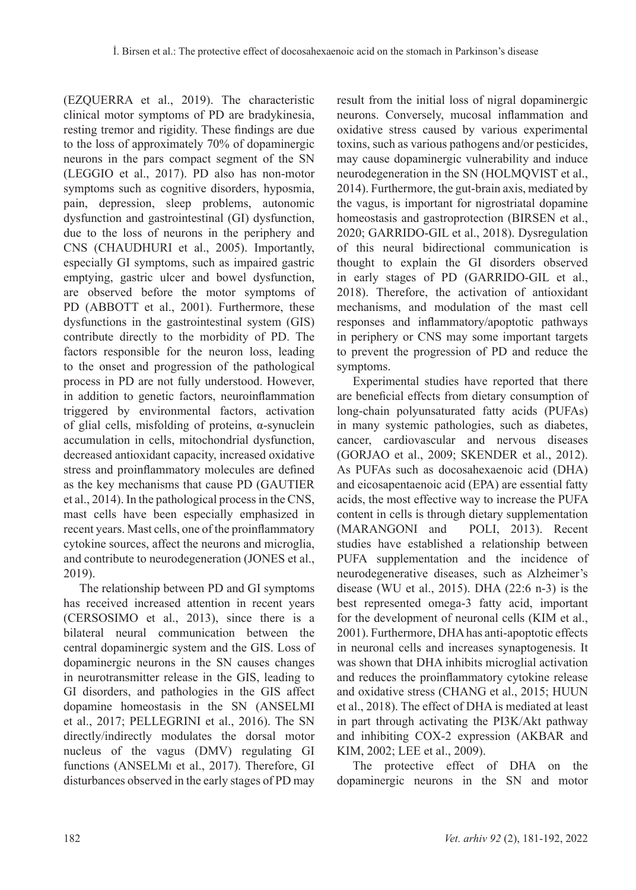(EZQUERRA et al., 2019). The characteristic clinical motor symptoms of PD are bradykinesia, resting tremor and rigidity. These findings are due to the loss of approximately 70% of dopaminergic neurons in the pars compact segment of the SN (Leggio et al., 2017). PD also has non-motor symptoms such as cognitive disorders, hyposmia, pain, depression, sleep problems, autonomic dysfunction and gastrointestinal (GI) dysfunction, due to the loss of neurons in the periphery and CNS (CHAUDHURI et al., 2005). Importantly, especially GI symptoms, such as impaired gastric emptying, gastric ulcer and bowel dysfunction, are observed before the motor symptoms of PD (ABBOTT et al., 2001). Furthermore, these dysfunctions in the gastrointestinal system (GIS) contribute directly to the morbidity of PD. The factors responsible for the neuron loss, leading to the onset and progression of the pathological process in PD are not fully understood. However, in addition to genetic factors, neuroinflammation triggered by environmental factors, activation of glial cells, misfolding of proteins, α-synuclein accumulation in cells, mitochondrial dysfunction, decreased antioxidant capacity, increased oxidative stress and proinflammatory molecules are defined as the key mechanisms that cause PD (GAUTIER et al., 2014). In the pathological process in the CNS, mast cells have been especially emphasized in recent years. Mast cells, one of the proinflammatory cytokine sources, affect the neurons and microglia, and contribute to neurodegeneration (JONES et al., 2019).

The relationship between PD and GI symptoms has received increased attention in recent years (Cersosimo et al., 2013), since there is a bilateral neural communication between the central dopaminergic system and the GIS. Loss of dopaminergic neurons in the SN causes changes in neurotransmitter release in the GIS, leading to GI disorders, and pathologies in the GIS affect dopamine homeostasis in the SN (ANSELMI et al., 2017; PELLEGRINI et al., 2016). The SN directly/indirectly modulates the dorsal motor nucleus of the vagus (DMV) regulating GI functions (ANSELMI et al., 2017). Therefore, GI disturbances observed in the early stages of PD may result from the initial loss of nigral dopaminergic neurons. Conversely, mucosal inflammation and oxidative stress caused by various experimental toxins, such as various pathogens and/or pesticides, may cause dopaminergic vulnerability and induce neurodegeneration in the SN (HOLMQVIST et al., 2014). Furthermore, the gut-brain axis, mediated by the vagus, is important for nigrostriatal dopamine homeostasis and gastroprotection (BIRSEN et al., 2020; GARRIDO-GIL et al., 2018). Dysregulation of this neural bidirectional communication is thought to explain the GI disorders observed in early stages of PD (GARRIDO-GIL et al., 2018). Therefore, the activation of antioxidant mechanisms, and modulation of the mast cell responses and inflammatory/apoptotic pathways in periphery or CNS may some important targets to prevent the progression of PD and reduce the symptoms.

Experimental studies have reported that there are beneficial effects from dietary consumption of long-chain polyunsaturated fatty acids (PUFAs) in many systemic pathologies, such as diabetes, cancer, cardiovascular and nervous diseases (GORJAO et al., 2009; SKENDER et al., 2012). As PUFAs such as docosahexaenoic acid (DHA) and eicosapentaenoic acid (EPA) are essential fatty acids, the most effective way to increase the PUFA content in cells is through dietary supplementation (MARANGONI and POLI, 2013). Recent studies have established a relationship between PUFA supplementation and the incidence of neurodegenerative diseases, such as Alzheimer's disease (Wu et al., 2015). DHA (22:6 n-3) is the best represented omega-3 fatty acid, important for the development of neuronal cells (Kim et al., 2001). Furthermore, DHA has anti-apoptotic effects in neuronal cells and increases synaptogenesis. It was shown that DHA inhibits microglial activation and reduces the proinflammatory cytokine release and oxidative stress (CHANG et al., 2015; HUUN et al., 2018). The effect of DHA is mediated at least in part through activating the PI3K/Akt pathway and inhibiting COX-2 expression (AKBAR and KIM, 2002; LEE et al., 2009).

The protective effect of DHA on the dopaminergic neurons in the SN and motor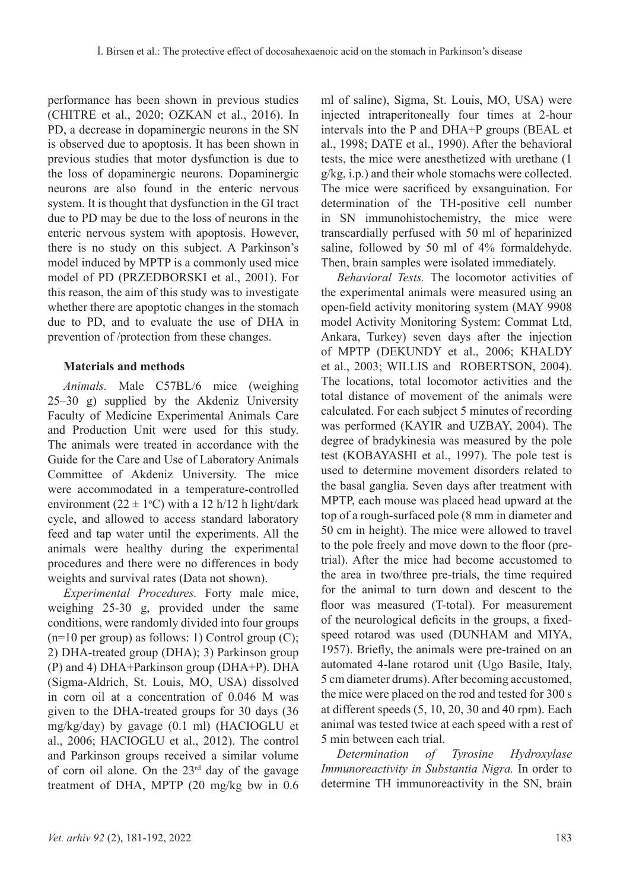performance has been shown in previous studies (CHITRE et al., 2020; OZKAN et al., 2016). In PD, a decrease in dopaminergic neurons in the SN is observed due to apoptosis. It has been shown in previous studies that motor dysfunction is due to the loss of dopaminergic neurons. Dopaminergic neurons are also found in the enteric nervous system. It is thought that dysfunction in the GI tract due to PD may be due to the loss of neurons in the enteric nervous system with apoptosis. However, there is no study on this subject. A Parkinson's model induced by MPTP is a commonly used mice model of PD (PRZEDBORSKI et al., 2001). For this reason, the aim of this study was to investigate whether there are apoptotic changes in the stomach due to PD, and to evaluate the use of DHA in prevention of /protection from these changes.

# **Materials and methods**

*Animals.* Male C57BL/6 mice (weighing 25–30 g) supplied by the Akdeniz University Faculty of Medicine Experimental Animals Care and Production Unit were used for this study. The animals were treated in accordance with the Guide for the Care and Use of Laboratory Animals Committee of Akdeniz University. The mice were accommodated in a temperature-controlled environment ( $22 \pm 1$ °C) with a 12 h/12 h light/dark cycle, and allowed to access standard laboratory feed and tap water until the experiments. All the animals were healthy during the experimental procedures and there were no differences in body weights and survival rates (Data not shown).

*Experimental Procedures.* Forty male mice, weighing 25-30 g, provided under the same conditions, were randomly divided into four groups  $(n=10 \text{ per group})$  as follows: 1) Control group (C); 2) DHA-treated group (DHA); 3) Parkinson group (P) and 4) DHA+Parkinson group (DHA+P). DHA (Sigma-Aldrich, St. Louis, MO, USA) dissolved in corn oil at a concentration of 0.046 M was given to the DHA-treated groups for 30 days (36 mg/kg/day) by gavage (0.1 ml) (HACIOGLU et al., 2006; Hacioglu et al., 2012). The control and Parkinson groups received a similar volume of corn oil alone. On the  $23<sup>rd</sup>$  day of the gavage treatment of DHA, MPTP (20 mg/kg bw in 0.6 ml of saline), Sigma, St. Louis, MO, USA) were injected intraperitoneally four times at 2-hour intervals into the P and DHA+P groups (Beal et al., 1998; DATE et al., 1990). After the behavioral tests, the mice were anesthetized with urethane (1 g/kg, i.p.) and their whole stomachs were collected. The mice were sacrificed by exsanguination. For determination of the TH-positive cell number in SN immunohistochemistry, the mice were transcardially perfused with 50 ml of heparinized saline, followed by 50 ml of 4% formaldehyde. Then, brain samples were isolated immediately.

*Behavioral Tests.* The locomotor activities of the experimental animals were measured using an open-field activity monitoring system (MAY 9908 model Activity Monitoring System: Commat Ltd, Ankara, Turkey) seven days after the injection of MPTP (DEKUNDY et al., 2006; KHALDY et al., 2003; WILLIS and ROBERTSON, 2004). The locations, total locomotor activities and the total distance of movement of the animals were calculated. For each subject 5 minutes of recording was performed (KAYIR and UZBAY, 2004). The degree of bradykinesia was measured by the pole test (KOBAYASHI et al., 1997). The pole test is used to determine movement disorders related to the basal ganglia. Seven days after treatment with MPTP, each mouse was placed head upward at the top of a rough-surfaced pole (8 mm in diameter and 50 cm in height). The mice were allowed to travel to the pole freely and move down to the floor (pretrial). After the mice had become accustomed to the area in two/three pre-trials, the time required for the animal to turn down and descent to the floor was measured (T-total). For measurement of the neurological deficits in the groups, a fixedspeed rotarod was used (DUNHAM and MIYA, 1957). Briefly, the animals were pre-trained on an automated 4-lane rotarod unit (Ugo Basile, Italy, 5 cm diameter drums). After becoming accustomed, the mice were placed on the rod and tested for 300 s at different speeds (5, 10, 20, 30 and 40 rpm). Each animal was tested twice at each speed with a rest of 5 min between each trial.

*Determination of Tyrosine Hydroxylase Immunoreactivity in Substantia Nigra.* In order to determine TH immunoreactivity in the SN, brain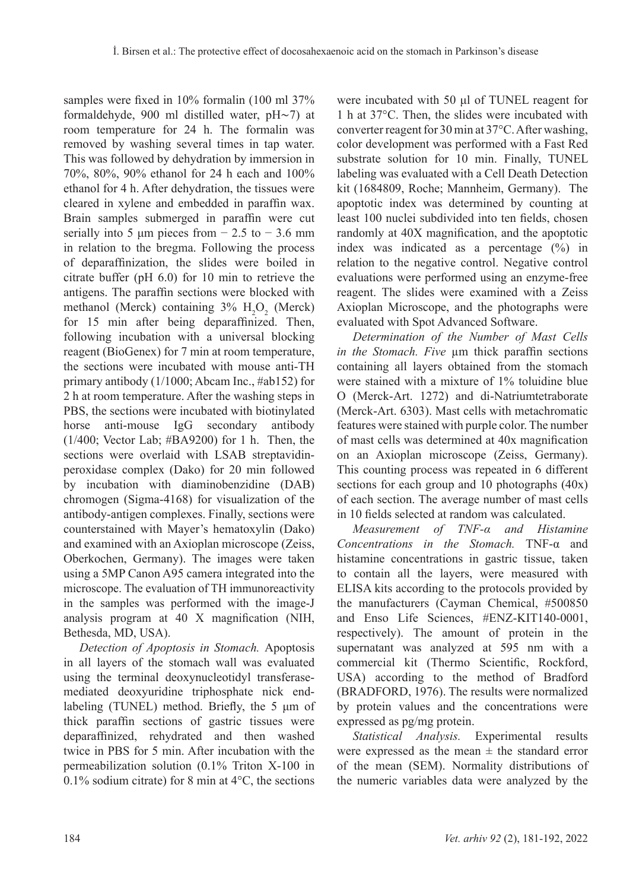samples were fixed in 10% formalin (100 ml 37%) formaldehyde, 900 ml distilled water, pH∼7) at room temperature for 24 h. The formalin was removed by washing several times in tap water. This was followed by dehydration by immersion in 70%, 80%, 90% ethanol for 24 h each and 100% ethanol for 4 h. After dehydration, the tissues were cleared in xylene and embedded in paraffin wax. Brain samples submerged in paraffin were cut serially into 5  $\mu$ m pieces from  $-2.5$  to  $-3.6$  mm in relation to the bregma. Following the process of deparaffinization, the slides were boiled in citrate buffer (pH 6.0) for 10 min to retrieve the antigens. The paraffin sections were blocked with methanol (Merck) containing  $3\%$  H<sub>2</sub>O<sub>2</sub> (Merck) for 15 min after being deparaffinized. Then, following incubation with a universal blocking reagent (BioGenex) for 7 min at room temperature, the sections were incubated with mouse anti-TH primary antibody (1/1000; Abcam Inc., #ab152) for 2 h at room temperature. After the washing steps in PBS, the sections were incubated with biotinylated horse anti-mouse IgG secondary antibody (1/400; Vector Lab; #BA9200) for 1 h. Then, the sections were overlaid with LSAB streptavidinperoxidase complex (Dako) for 20 min followed by incubation with diaminobenzidine (DAB) chromogen (Sigma-4168) for visualization of the antibody-antigen complexes. Finally, sections were counterstained with Mayer's hematoxylin (Dako) and examined with an Axioplan microscope (Zeiss, Oberkochen, Germany). The images were taken using a 5MP Canon A95 camera integrated into the microscope. The evaluation of TH immunoreactivity in the samples was performed with the image-J analysis program at 40 X magnification (NIH, Bethesda, MD, USA).

*Detection of Apoptosis in Stomach.* Apoptosis in all layers of the stomach wall was evaluated using the terminal deoxynucleotidyl transferasemediated deoxyuridine triphosphate nick endlabeling (TUNEL) method. Briefly, the 5 μm of thick paraffin sections of gastric tissues were deparaffinized, rehydrated and then washed twice in PBS for 5 min. After incubation with the permeabilization solution (0.1% Triton X-100 in 0.1% sodium citrate) for 8 min at  $4^{\circ}$ C, the sections were incubated with 50 μl of TUNEL reagent for 1 h at 37°C. Then, the slides were incubated with converter reagent for 30 min at 37°C. After washing, color development was performed with a Fast Red substrate solution for 10 min. Finally, TUNEL labeling was evaluated with a Cell Death Detection kit (1684809, Roche; Mannheim, Germany). The apoptotic index was determined by counting at least 100 nuclei subdivided into ten fields, chosen randomly at 40X magnification, and the apoptotic index was indicated as a percentage (%) in relation to the negative control. Negative control evaluations were performed using an enzyme-free reagent. The slides were examined with a Zeiss Axioplan Microscope, and the photographs were evaluated with Spot Advanced Software.

*Determination of the Number of Mast Cells in the Stomach. Five*  $\mu$ m thick paraffin sections containing all layers obtained from the stomach were stained with a mixture of 1% toluidine blue O (Merck-Art. 1272) and di-Natriumtetraborate (Merck-Art. 6303). Mast cells with metachromatic features were stained with purple color. The number of mast cells was determined at 40x magnification on an Axioplan microscope (Zeiss, Germany). This counting process was repeated in 6 different sections for each group and 10 photographs (40x) of each section. The average number of mast cells in 10 fields selected at random was calculated.

*Measurement of TNF-α and Histamine Concentrations in the Stomach.* TNF-α and histamine concentrations in gastric tissue, taken to contain all the layers, were measured with ELISA kits according to the protocols provided by the manufacturers (Cayman Chemical, #500850 and Enso Life Sciences, #ENZ-KIT140-0001, respectively). The amount of protein in the supernatant was analyzed at 595 nm with a commercial kit (Thermo Scientific, Rockford, USA) according to the method of Bradford (BRADFORD, 1976). The results were normalized by protein values and the concentrations were expressed as pg/mg protein.

*Statistical Analysis.* Experimental results were expressed as the mean  $\pm$  the standard error of the mean (SEM). Normality distributions of the numeric variables data were analyzed by the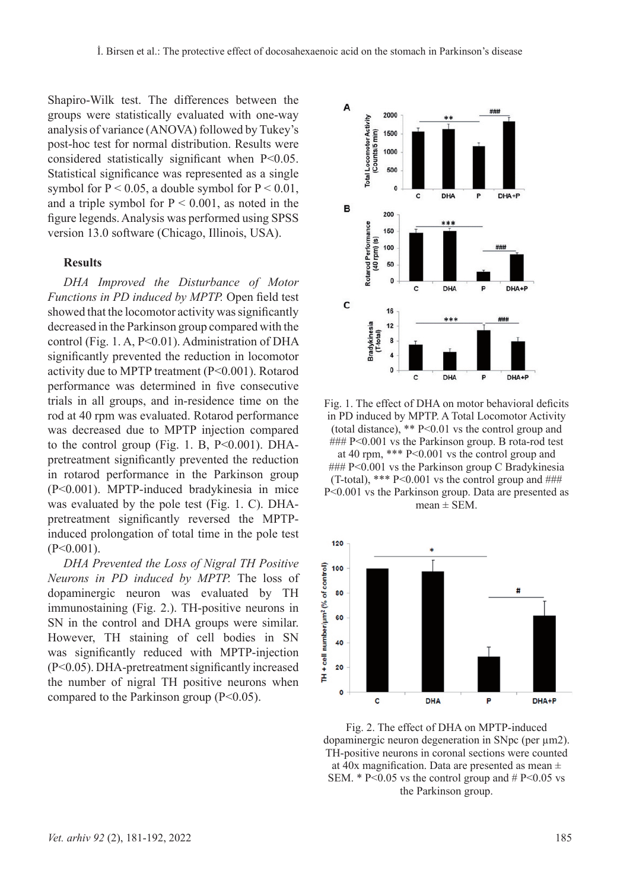Shapiro-Wilk test. The differences between the groups were statistically evaluated with one-way analysis of variance (ANOVA) followed by Tukey's post-hoc test for normal distribution. Results were considered statistically significant when P<0.05. Statistical significance was represented as a single symbol for  $P < 0.05$ , a double symbol for  $P < 0.01$ , and a triple symbol for  $P \le 0.001$ , as noted in the figure legends. Analysis was performed using SPSS version 13.0 software (Chicago, Illinois, USA).

#### **Results**

*DHA Improved the Disturbance of Motor Functions in PD induced by MPTP.* Open field test showed that the locomotor activity was significantly decreased in the Parkinson group compared with the control (Fig. 1. A, P<0.01). Administration of DHA significantly prevented the reduction in locomotor activity due to MPTP treatment (P<0.001). Rotarod performance was determined in five consecutive trials in all groups, and in-residence time on the rod at 40 rpm was evaluated. Rotarod performance was decreased due to MPTP injection compared to the control group (Fig. 1. B, P<0.001). DHApretreatment significantly prevented the reduction in rotarod performance in the Parkinson group (P<0.001). MPTP-induced bradykinesia in mice was evaluated by the pole test (Fig. 1. C). DHApretreatment significantly reversed the MPTPinduced prolongation of total time in the pole test  $(P<0.001)$ .

*DHA Prevented the Loss of Nigral TH Positive Neurons in PD induced by MPTP.* The loss of dopaminergic neuron was evaluated by TH immunostaining (Fig. 2.). TH-positive neurons in SN in the control and DHA groups were similar. However, TH staining of cell bodies in SN was significantly reduced with MPTP-injection (P<0.05). DHA-pretreatment significantly increased the number of nigral TH positive neurons when compared to the Parkinson group  $(P<0.05)$ .



Fig. 1. The effect of DHA on motor behavioral deficits in PD induced by MPTP. A Total Locomotor Activity (total distance), \*\* P<0.01 vs the control group and ### P<0.001 vs the Parkinson group. B rota-rod test at 40 rpm, \*\*\* P<0.001 vs the control group and ### P<0.001 vs the Parkinson group C Bradykinesia (T-total), \*\*\*  $P<0.001$  vs the control group and  $\# \#$ P<0.001 vs the Parkinson group. Data are presented as  $mean \pm SEM$ .



Fig. 2. The effect of DHA on MPTP-induced dopaminergic neuron degeneration in SNpc (per µm2). TH-positive neurons in coronal sections were counted at 40x magnification. Data are presented as mean  $\pm$ SEM.  $*$  P<0.05 vs the control group and  $#$  P<0.05 vs the Parkinson group.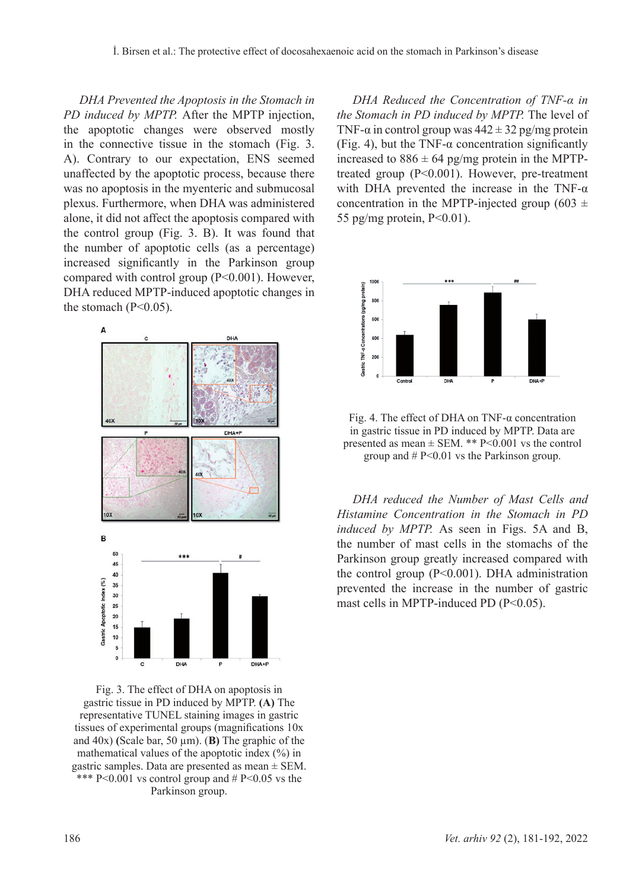*DHA Prevented the Apoptosis in the Stomach in PD induced by MPTP.* After the MPTP injection, the apoptotic changes were observed mostly in the connective tissue in the stomach (Fig. 3. A). Contrary to our expectation, ENS seemed unaffected by the apoptotic process, because there was no apoptosis in the myenteric and submucosal plexus. Furthermore, when DHA was administered alone, it did not affect the apoptosis compared with the control group (Fig. 3. B). It was found that the number of apoptotic cells (as a percentage) increased significantly in the Parkinson group compared with control group (P<0.001). However, DHA reduced MPTP-induced apoptotic changes in the stomach  $(P<0.05)$ .



Fig. 3. The effect of DHA on apoptosis in gastric tissue in PD induced by MPTP. **(A)** The representative TUNEL staining images in gastric tissues of experimental groups (magnifications 10x and 40x) **(**Scale bar, 50 µm). (**B)** The graphic of the mathematical values of the apoptotic index  $(\% )$  in gastric samples. Data are presented as mean  $\pm$  SEM. \*\*\* P<0.001 vs control group and  $# P \le 0.05$  vs the Parkinson group.

*DHA Reduced the Concentration of TNF-α in the Stomach in PD induced by MPTP.* The level of TNF- $\alpha$  in control group was  $442 \pm 32$  pg/mg protein (Fig. 4), but the TNF- $\alpha$  concentration significantly increased to  $886 \pm 64$  pg/mg protein in the MPTPtreated group (P<0.001). However, pre-treatment with DHA prevented the increase in the TNF- $\alpha$ concentration in the MPTP-injected group (603  $\pm$ 55 pg/mg protein,  $P<0.01$ ).



Fig. 4. The effect of DHA on TNF- $\alpha$  concentration in gastric tissue in PD induced by MPTP. Data are presented as mean  $\pm$  SEM. \*\* P<0.001 vs the control group and # P<0.01 vs the Parkinson group.

*DHA reduced the Number of Mast Cells and Histamine Concentration in the Stomach in PD induced by MPTP.* As seen in Figs. 5A and B, the number of mast cells in the stomachs of the Parkinson group greatly increased compared with the control group (P<0.001). DHA administration prevented the increase in the number of gastric mast cells in MPTP-induced PD (P<0.05).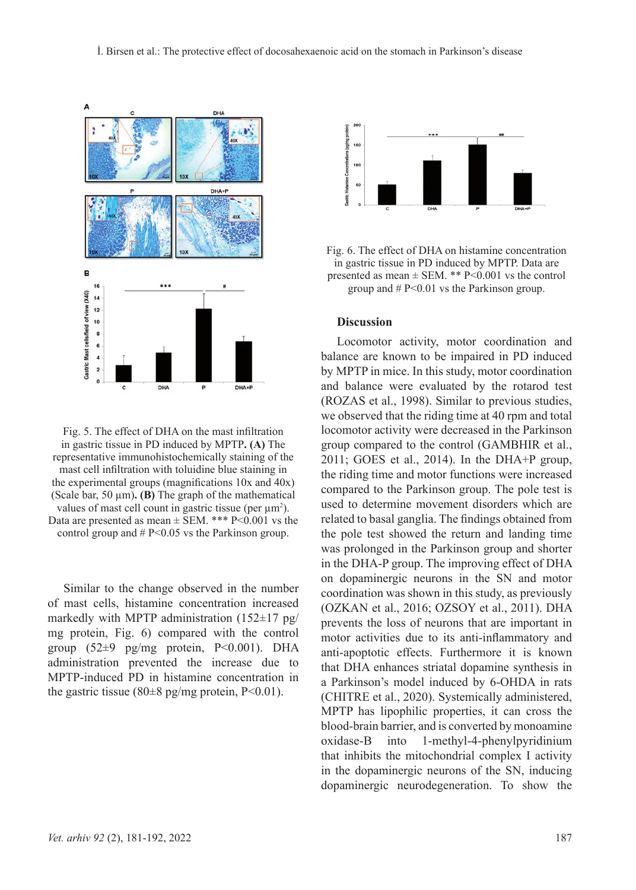

Fig. 5. The effect of DHA on the mast infiltration in gastric tissue in PD induced by MPTP**. (A)** The representative immunohistochemically staining of the mast cell infiltration with toluidine blue staining in the experimental groups (magnifications 10x and 40x) (Scale bar, 50 µm)**. (B)** The graph of the mathematical values of mast cell count in gastric tissue (per  $\mu$ m<sup>2</sup>). Data are presented as mean  $\pm$  SEM. \*\*\* P<0.001 vs the control group and  $# P < 0.05$  vs the Parkinson group.

Similar to the change observed in the number of mast cells, histamine concentration increased markedly with MPTP administration  $(152 \pm 17 \text{ pg/m})$ mg protein, Fig. 6) compared with the control group  $(52\pm9)$  pg/mg protein, P<0.001). DHA administration prevented the increase due to MPTP-induced PD in histamine concentration in the gastric tissue (80 $\pm$ 8 pg/mg protein, P<0.01).



Fig. 6. The effect of DHA on histamine concentration in gastric tissue in PD induced by MPTP. Data are presented as mean  $\pm$  SEM. \*\* P<0.001 vs the control group and # P<0.01 vs the Parkinson group.

# **Discussion**

Locomotor activity, motor coordination and balance are known to be impaired in PD induced by MPTP in mice. In this study, motor coordination and balance were evaluated by the rotarod test (Rozas et al., 1998). Similar to previous studies, we observed that the riding time at 40 rpm and total locomotor activity were decreased in the Parkinson group compared to the control (GAMBHIR et al., 2011; GOES et al., 2014). In the DHA+P group, the riding time and motor functions were increased compared to the Parkinson group. The pole test is used to determine movement disorders which are related to basal ganglia. The findings obtained from the pole test showed the return and landing time was prolonged in the Parkinson group and shorter in the DHA-P group. The improving effect of DHA on dopaminergic neurons in the SN and motor coordination was shown in this study, as previously (Ozkan et al., 2016; Ozsoy et al., 2011). DHA prevents the loss of neurons that are important in motor activities due to its anti-inflammatory and anti-apoptotic effects. Furthermore it is known that DHA enhances striatal dopamine synthesis in a Parkinson's model induced by 6-OHDA in rats (CHITRE et al., 2020). Systemically administered, MPTP has lipophilic properties, it can cross the blood-brain barrier, and is converted by monoamine oxidase-B into 1-methyl-4-phenylpyridinium that inhibits the mitochondrial complex I activity in the dopaminergic neurons of the SN, inducing dopaminergic neurodegeneration. To show the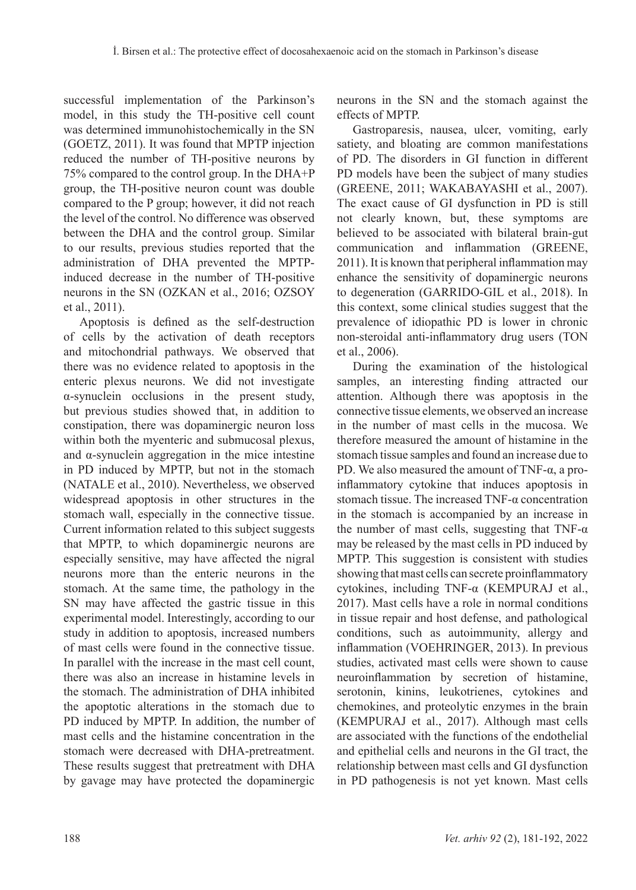successful implementation of the Parkinson's model, in this study the TH-positive cell count was determined immunohistochemically in the SN (GOETZ, 2011). It was found that MPTP injection reduced the number of TH-positive neurons by 75% compared to the control group. In the DHA+P group, the TH-positive neuron count was double compared to the P group; however, it did not reach the level of the control. No difference was observed between the DHA and the control group. Similar to our results, previous studies reported that the administration of DHA prevented the MPTPinduced decrease in the number of TH-positive neurons in the SN (OZKAN et al., 2016; OZSOY et al., 2011).

Apoptosis is defined as the self-destruction of cells by the activation of death receptors and mitochondrial pathways. We observed that there was no evidence related to apoptosis in the enteric plexus neurons. We did not investigate α-synuclein occlusions in the present study, but previous studies showed that, in addition to constipation, there was dopaminergic neuron loss within both the myenteric and submucosal plexus, and  $\alpha$ -synuclein aggregation in the mice intestine in PD induced by MPTP, but not in the stomach (NATALE et al., 2010). Nevertheless, we observed widespread apoptosis in other structures in the stomach wall, especially in the connective tissue. Current information related to this subject suggests that MPTP, to which dopaminergic neurons are especially sensitive, may have affected the nigral neurons more than the enteric neurons in the stomach. At the same time, the pathology in the SN may have affected the gastric tissue in this experimental model. Interestingly, according to our study in addition to apoptosis, increased numbers of mast cells were found in the connective tissue. In parallel with the increase in the mast cell count, there was also an increase in histamine levels in the stomach. The administration of DHA inhibited the apoptotic alterations in the stomach due to PD induced by MPTP. In addition, the number of mast cells and the histamine concentration in the stomach were decreased with DHA-pretreatment. These results suggest that pretreatment with DHA by gavage may have protected the dopaminergic neurons in the SN and the stomach against the effects of MPTP.

Gastroparesis, nausea, ulcer, vomiting, early satiety, and bloating are common manifestations of PD. The disorders in GI function in different PD models have been the subject of many studies (Greene, 2011; Wakabayashi et al., 2007). The exact cause of GI dysfunction in PD is still not clearly known, but, these symptoms are believed to be associated with bilateral brain-gut communication and inflammation (GREENE, 2011). It is known that peripheral inflammation may enhance the sensitivity of dopaminergic neurons to degeneration (GARRIDO-GIL et al., 2018). In this context, some clinical studies suggest that the prevalence of idiopathic PD is lower in chronic non-steroidal anti-inflammatory drug users (Ton et al., 2006).

During the examination of the histological samples, an interesting finding attracted our attention. Although there was apoptosis in the connective tissue elements, we observed an increase in the number of mast cells in the mucosa. We therefore measured the amount of histamine in the stomach tissue samples and found an increase due to PD. We also measured the amount of TNF- $\alpha$ , a proinflammatory cytokine that induces apoptosis in stomach tissue. The increased TNF-α concentration in the stomach is accompanied by an increase in the number of mast cells, suggesting that TNF- $\alpha$ may be released by the mast cells in PD induced by MPTP. This suggestion is consistent with studies showing that mast cells can secrete proinflammatory cytokines, including TNF-α (KEMPURAJ et al., 2017). Mast cells have a role in normal conditions in tissue repair and host defense, and pathological conditions, such as autoimmunity, allergy and inflammation (VOEHRINGER, 2013). In previous studies, activated mast cells were shown to cause neuroinflammation by secretion of histamine, serotonin, kinins, leukotrienes, cytokines and chemokines, and proteolytic enzymes in the brain (KEMPURAJ et al., 2017). Although mast cells are associated with the functions of the endothelial and epithelial cells and neurons in the GI tract, the relationship between mast cells and GI dysfunction in PD pathogenesis is not yet known. Mast cells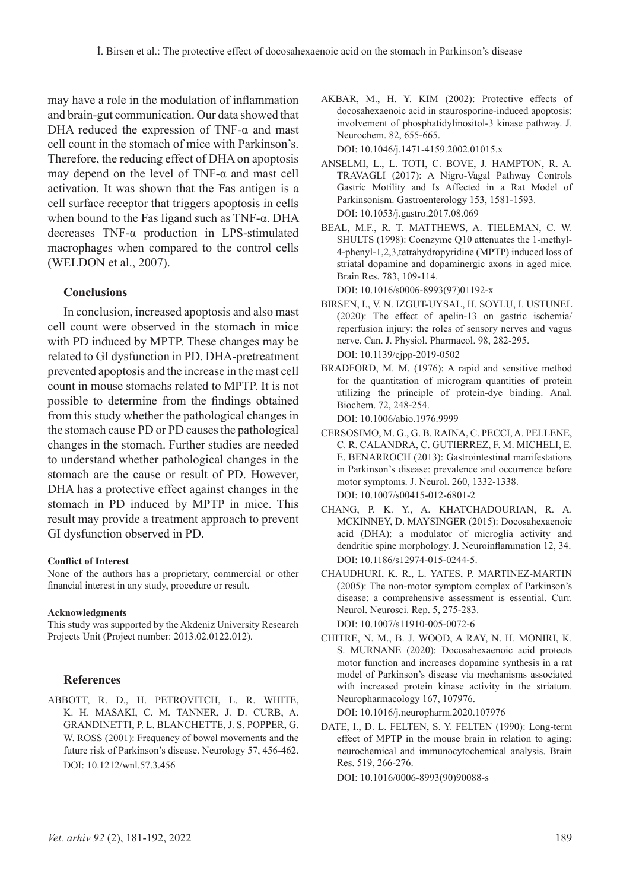may have a role in the modulation of inflammation and brain-gut communication. Our data showed that DHA reduced the expression of  $TNF-\alpha$  and mast cell count in the stomach of mice with Parkinson's. Therefore, the reducing effect of DHA on apoptosis may depend on the level of  $TNF-\alpha$  and mast cell activation. It was shown that the Fas antigen is a cell surface receptor that triggers apoptosis in cells when bound to the Fas ligand such as TNF-α. DHA decreases TNF-α production in LPS-stimulated macrophages when compared to the control cells (WELDON et al.,  $2007$ ).

#### **Conclusions**

In conclusion, increased apoptosis and also mast cell count were observed in the stomach in mice with PD induced by MPTP. These changes may be related to GI dysfunction in PD. DHA-pretreatment prevented apoptosis and the increase in the mast cell count in mouse stomachs related to MPTP. It is not possible to determine from the findings obtained from this study whether the pathological changes in the stomach cause PD or PD causes the pathological changes in the stomach. Further studies are needed to understand whether pathological changes in the stomach are the cause or result of PD. However, DHA has a protective effect against changes in the stomach in PD induced by MPTP in mice. This result may provide a treatment approach to prevent GI dysfunction observed in PD.

#### **Conflict of Interest**

None of the authors has a proprietary, commercial or other financial interest in any study, procedure or result.

#### **Acknowledgments**

This study was supported by the Akdeniz University Research Projects Unit (Project number: 2013.02.0122.012).

#### **References**

Abbott, R. D., h. Petrovitch, L. R. White, K. H. Masaki, C. M. Tanner, j. d. Curb, A. Grandinetti, p. l. Blanchette, j. s. Popper, g. w. Ross (2001): Frequency of bowel movements and the future risk of Parkinson's disease. Neurology 57, 456-462. DOI: 10.1212/wnl.57.3.456

- Akbar, M., H. Y. Kim (2002): Protective effects of docosahexaenoic acid in staurosporine-induced apoptosis: involvement of phosphatidylinositol-3 kinase pathway. J. Neurochem. 82, 655-665. DOI: 10.1046/j.1471-4159.2002.01015.x
- Anselmi, L., L. Toti, C. Bove, J. Hampton, R. A. TRAVAGLI (2017): A Nigro-Vagal Pathway Controls Gastric Motility and Is Affected in a Rat Model of Parkinsonism. Gastroenterology 153, 1581-1593. DOI: 10.1053/j.gastro.2017.08.069
- Beal, M.F., R. T. Matthews, A. Tieleman, C. W. SHULTS (1998): Coenzyme Q10 attenuates the 1-methyl-4-phenyl-1,2,3,tetrahydropyridine (MPTP) induced loss of striatal dopamine and dopaminergic axons in aged mice. Brain Res. 783, 109-114. DOI: 10.1016/s0006-8993(97)01192-x
- Birsen, I., V. N. Izgut-Uysal, H. Soylu, I. Ustunel (2020): The effect of apelin-13 on gastric ischemia/ reperfusion injury: the roles of sensory nerves and vagus nerve. Can. J. Physiol. Pharmacol. 98, 282-295. DOI: 10.1139/cjpp-2019-0502
- BRADFORD, M. M. (1976): A rapid and sensitive method for the quantitation of microgram quantities of protein utilizing the principle of protein-dye binding. Anal. Biochem. 72, 248-254.

DOI: 10.1006/abio.1976.9999

- Cersosimo, M. G., G. B. Raina, C. Pecci, A. Pellene, C. R. Calandra, C. Gutierrez, F. M. Micheli, E. E. BENARROCH (2013): Gastrointestinal manifestations in Parkinson's disease: prevalence and occurrence before motor symptoms. J. Neurol. 260, 1332-1338. DOI: 10.1007/s00415-012-6801-2
- Chang, P. K. Y., A. Khatchadourian, R. A. McKinney, D. Maysinger (2015): Docosahexaenoic acid (DHA): a modulator of microglia activity and dendritic spine morphology. J. Neuroinflammation 12, 34. DOI: 10.1186/s12974-015-0244-5.
- Chaudhuri, K. R., L. Yates, P. Martinez-Martin (2005): The non-motor symptom complex of Parkinson's disease: a comprehensive assessment is essential. Curr. Neurol. Neurosci. Rep. 5, 275-283. DOI: 10.1007/s11910-005-0072-6
- Chitre, N. M., B. J. Wood, A Ray, N. H. Moniri, K. S. MURNANE (2020): Docosahexaenoic acid protects motor function and increases dopamine synthesis in a rat model of Parkinson's disease via mechanisms associated with increased protein kinase activity in the striatum. Neuropharmacology 167, 107976.

DOI: 10.1016/j.neuropharm.2020.107976

DATE, I., D. L. FELTEN, S. Y. FELTEN (1990): Long-term effect of MPTP in the mouse brain in relation to aging: neurochemical and immunocytochemical analysis. Brain Res. 519, 266-276.

DOI: 10.1016/0006-8993(90)90088-s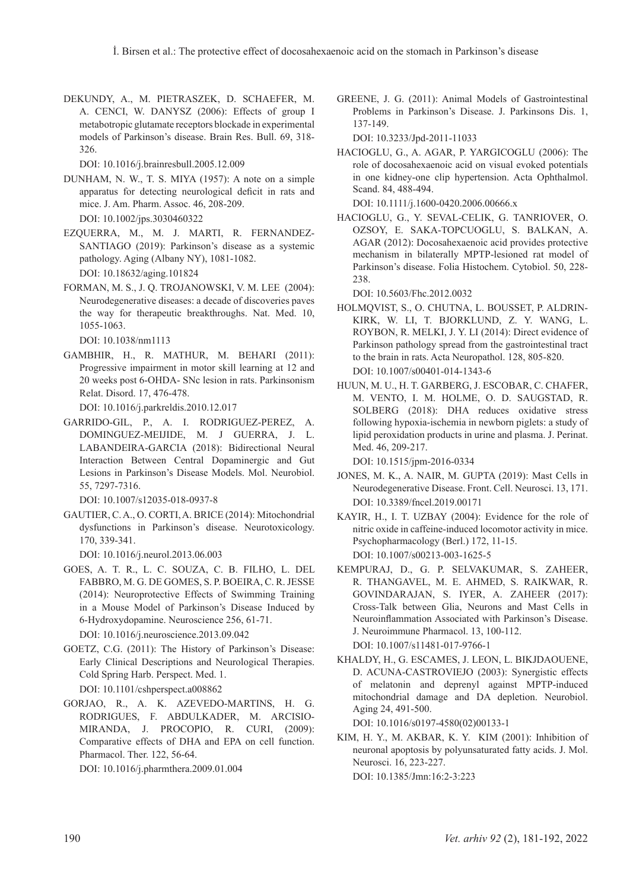Dekundy, A., M. Pietraszek, D. Schaefer, M. A. CENCI, W. DANYSZ (2006): Effects of group I metabotropic glutamate receptors blockade in experimental models of Parkinson's disease. Brain Res. Bull. 69, 318- 326.

DOI: 10.1016/j.brainresbull.2005.12.009

- Dunham, N. W., T. S. Miya (1957): A note on a simple apparatus for detecting neurological deficit in rats and mice. J. Am. Pharm. Assoc. 46, 208-209. DOI: 10.1002/jps.3030460322
- Ezquerra, M., M. J. Marti, R. Fernandez-SANTIAGO (2019): Parkinson's disease as a systemic pathology. Aging (Albany NY), 1081-1082. DOI: 10.18632/aging.101824
- Forman, M. S., J. Q. Trojanowski, V. M. Lee (2004): Neurodegenerative diseases: a decade of discoveries paves the way for therapeutic breakthroughs. Nat. Med. 10, 1055-1063.

DOI: 10.1038/nm1113

Gambhir, H., R. Mathur, M. Behari (2011): Progressive impairment in motor skill learning at 12 and 20 weeks post 6-OHDA- SNc lesion in rats. Parkinsonism Relat. Disord. 17, 476-478.

DOI: 10.1016/j.parkreldis.2010.12.017

Garrido-Gil, P., A. I. Rodriguez-Perez, A. Dominguez-Meijide, M. J Guerra, J. L. Labandeira-Garcia (2018): Bidirectional Neural Interaction Between Central Dopaminergic and Gut Lesions in Parkinson's Disease Models. Mol. Neurobiol. 55, 7297-7316.

DOI: 10.1007/s12035-018-0937-8

GAUTIER, C. A., O. CORTI, A. BRICE (2014): Mitochondrial dysfunctions in Parkinson's disease. Neurotoxicology. 170, 339-341.

DOI: 10.1016/j.neurol.2013.06.003

- Goes, A. T. R., l. c. Souza, c. b. Filho, l. Del Fabbro, m. g. De Gomes, s. p. Boeira, c. r. Jesse (2014): Neuroprotective Effects of Swimming Training in a Mouse Model of Parkinson's Disease Induced by 6-Hydroxydopamine. Neuroscience 256, 61-71. DOI: 10.1016/j.neuroscience.2013.09.042
- GOETZ, C.G. (2011): The History of Parkinson's Disease: Early Clinical Descriptions and Neurological Therapies. Cold Spring Harb. Perspect. Med. 1. DOI: 10.1101/cshperspect.a008862
- Gorjao, R., A. K. Azevedo-martins, H. G. Rodrigues, F. Abdulkader, M. Arcisio-Miranda, J. Procopio, R. Curi, (2009): Comparative effects of DHA and EPA on cell function. Pharmacol. Ther. 122, 56-64.

DOI: 10.1016/j.pharmthera.2009.01.004

GREENE, J. G. (2011): Animal Models of Gastrointestinal Problems in Parkinson's Disease. J. Parkinsons Dis. 1, 137-149.

DOI: 10.3233/Jpd-2011-11033

Hacioglu, G., A. Agar, P. Yargicoglu (2006): The role of docosahexaenoic acid on visual evoked potentials in one kidney-one clip hypertension. Acta Ophthalmol. Scand. 84, 488-494.

DOI: 10.1111/j.1600-0420.2006.00666.x

Hacioglu, G., Y. Seval-Celik, G. Tanriover, O. Ozsoy, E. Saka-Topcuoglu, S. Balkan, A. AGAR (2012): Docosahexaenoic acid provides protective mechanism in bilaterally MPTP-lesioned rat model of Parkinson's disease. Folia Histochem. Cytobiol. 50, 228- 238.

DOI: 10.5603/Fhc.2012.0032

- Holmqvist, S., O. Chutna, L. Bousset, P. Aldrin-Kirk, W. Li, T. Bjorklund, Z. Y. Wang, L. Roybon, R. Melki, J. Y. Li (2014): Direct evidence of Parkinson pathology spread from the gastrointestinal tract to the brain in rats. Acta Neuropathol. 128, 805-820. DOI: 10.1007/s00401-014-1343-6
- Huun, M. U., H. T. Garberg, J. Escobar, C. Chafer, M. Vento, I. M. Holme, O. D. Saugstad, R. SOLBERG (2018): DHA reduces oxidative stress following hypoxia-ischemia in newborn piglets: a study of lipid peroxidation products in urine and plasma. J. Perinat. Med. 46, 209-217.

DOI: 10.1515/jpm-2016-0334

- JONES, M. K., A. NAIR, M. GUPTA (2019): Mast Cells in Neurodegenerative Disease. Front. Cell. Neurosci. 13, 171. DOI: 10.3389/fncel.2019.00171
- KAYIR, H., I. T. UZBAY (2004): Evidence for the role of nitric oxide in caffeine-induced locomotor activity in mice. Psychopharmacology (Berl.) 172, 11-15. DOI: 10.1007/s00213-003-1625-5
- Kempuraj, D., G. P. Selvakumar, S. Zaheer, R. Thangavel, M. E. Ahmed, S. Raikwar, R. Govindarajan, S. Iyer, A. Zaheer (2017): Cross-Talk between Glia, Neurons and Mast Cells in Neuroinflammation Associated with Parkinson's Disease. J. Neuroimmune Pharmacol. 13, 100-112. DOI: 10.1007/s11481-017-9766-1
- Khaldy, H., G. Escames, J. Leon, L. Bikjdaouene, D. Acuna-Castroviejo (2003): Synergistic effects of melatonin and deprenyl against MPTP-induced mitochondrial damage and DA depletion. Neurobiol. Aging 24, 491-500.

DOI: 10.1016/s0197-4580(02)00133-1

KIM, H. Y., M. AKBAR, K. Y. KIM (2001): Inhibition of neuronal apoptosis by polyunsaturated fatty acids. J. Mol. Neurosci. 16, 223-227.

DOI: 10.1385/Jmn:16:2-3:223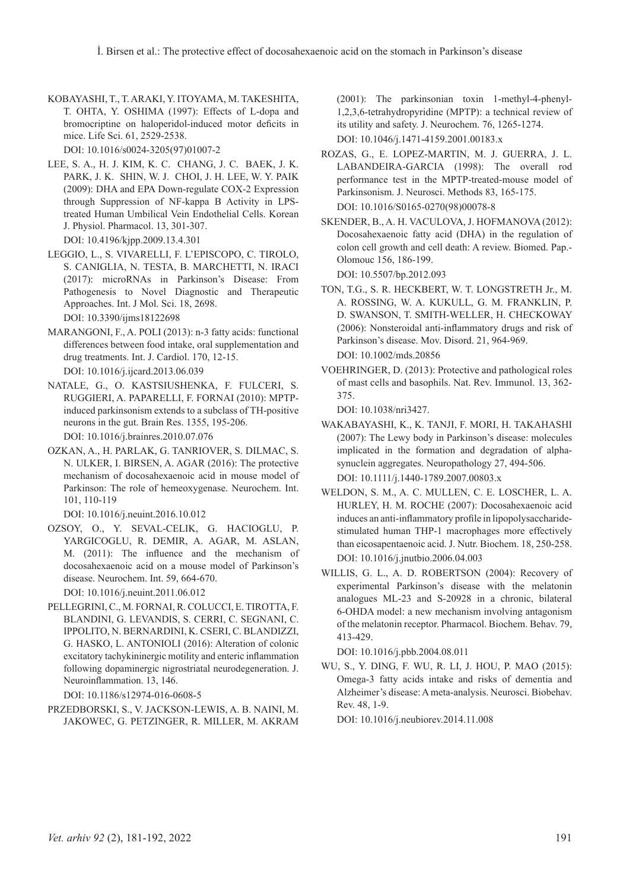Kobayashi, T., T. Araki, Y. Itoyama, M. Takeshita, T. OHTA, Y. OSHIMA (1997): Effects of L-dopa and bromocriptine on haloperidol-induced motor deficits in mice. Life Sci. 61, 2529-2538.

DOI: 10.1016/s0024-3205(97)01007-2

- Lee, S. A., H. J. Kim, K. C. Chang, J. C. Baek, J. K. PARK, J. K. SHIN, W. J. CHOI, J. H. LEE, W. Y. PAIK (2009): DHA and EPA Down-regulate COX-2 Expression through Suppression of NF-kappa B Activity in LPStreated Human Umbilical Vein Endothelial Cells. Korean J. Physiol. Pharmacol. 13, 301-307. DOI: 10.4196/kjpp.2009.13.4.301
- Leggio, L., S. Vivarelli, F. L'Episcopo, C. Tirolo, S. Caniglia, N. Testa, B. Marchetti, N. Iraci (2017): microRNAs in Parkinson's Disease: From Pathogenesis to Novel Diagnostic and Therapeutic Approaches. Int. J Mol. Sci. 18, 2698. DOI: 10.3390/ijms18122698
- MARANGONI, F., A. POLI (2013): n-3 fatty acids: functional differences between food intake, oral supplementation and drug treatments. Int. J. Cardiol. 170, 12-15. DOI: 10.1016/j.ijcard.2013.06.039
- Natale, G., O. Kastsiushenka, F. Fulceri, S. Ruggieri, A. Paparelli, F. Fornai (2010): MPTPinduced parkinsonism extends to a subclass of TH-positive neurons in the gut. Brain Res. 1355, 195-206. DOI: 10.1016/j.brainres.2010.07.076
- Ozkan, A., H. Parlak, G. Tanriover, S. Dilmac, S. N. Ulker, I. Birsen, A. Agar (2016): The protective mechanism of docosahexaenoic acid in mouse model of Parkinson: The role of hemeoxygenase. Neurochem. Int. 101, 110-119

DOI: 10.1016/j.neuint.2016.10.012

Ozsoy, O., Y. Seval-Celik, G. Hacioglu, P. Yargicoglu, R. Demir, A. Agar, M. Aslan, M. (2011): The influence and the mechanism of docosahexaenoic acid on a mouse model of Parkinson's disease. Neurochem. Int. 59, 664-670.

DOI: 10.1016/j.neuint.2011.06.012

Pellegrini, C., M. Fornai, R. Colucci, E. Tirotta, F. Blandini, G. Levandis, S. Cerri, C. Segnani, C. Ippolito, N. Bernardini, K. Cseri, C. Blandizzi, G. Hasko, L. Antonioli (2016): Alteration of colonic excitatory tachykininergic motility and enteric inflammation following dopaminergic nigrostriatal neurodegeneration. J. Neuroinflammation. 13, 146.

DOI: 10.1186/s12974-016-0608-5

Przedborski, S., V. Jackson-Lewis, A. B. Naini, M. Jakowec, G. Petzinger, R. Miller, M. Akram (2001): The parkinsonian toxin 1-methyl-4-phenyl-1,2,3,6-tetrahydropyridine (MPTP): a technical review of its utility and safety. J. Neurochem. 76, 1265-1274.

DOI: 10.1046/j.1471-4159.2001.00183.x

- Rozas, G., E. Lopez-Martin, M. J. Guerra, J. L. Labandeira-Garcia (1998): The overall rod performance test in the MPTP-treated-mouse model of Parkinsonism. J. Neurosci. Methods 83, 165-175. DOI: 10.1016/S0165-0270(98)00078-8
- Skender, B., A. H. Vaculova, J. Hofmanova (2012): Docosahexaenoic fatty acid (DHA) in the regulation of colon cell growth and cell death: A review. Biomed. Pap.- Olomouc 156, 186-199.

DOI: 10.5507/bp.2012.093

- Ton, T.G., S. R. Heckbert, W. T. Longstreth Jr., m. a. Rossing, w. a. Kukull, g. m. Franklin, p. d. Swanson, t. Smith-Weller, h. Checkoway (2006): Nonsteroidal anti-inflammatory drugs and risk of Parkinson's disease. Mov. Disord. 21, 964-969. DOI: 10.1002/mds.20856
- Voehringer, D. (2013): Protective and pathological roles of mast cells and basophils. Nat. Rev. Immunol. 13, 362- 375.

DOI: 10.1038/nri3427.

- Wakabayashi, K., K. Tanji, F. Mori, H. Takahashi (2007): The Lewy body in Parkinson's disease: molecules implicated in the formation and degradation of alphasynuclein aggregates. Neuropathology 27, 494-506. DOI: 10.1111/j.1440-1789.2007.00803.x
- Weldon, S. M., A. C. Mullen, C. E. Loscher, L. A. Hurley, H. M. Roche (2007): Docosahexaenoic acid induces an anti-inflammatory profile in lipopolysaccharidestimulated human THP-1 macrophages more effectively than eicosapentaenoic acid. J. Nutr. Biochem. 18, 250-258. DOI: 10.1016/j.jnutbio.2006.04.003
- WILLIS, G. L., A. D. ROBERTSON (2004): Recovery of experimental Parkinson's disease with the melatonin analogues ML-23 and S-20928 in a chronic, bilateral 6-OHDA model: a new mechanism involving antagonism of the melatonin receptor. Pharmacol. Biochem. Behav. 79, 413-429.

DOI: 10.1016/j.pbb.2004.08.011

Wu, S., Y. Ding, F. Wu, R. Li, J. Hou, P. Mao (2015): Omega-3 fatty acids intake and risks of dementia and Alzheimer's disease: A meta-analysis. Neurosci. Biobehav. Rev. 48, 1-9.

DOI: 10.1016/j.neubiorev.2014.11.008